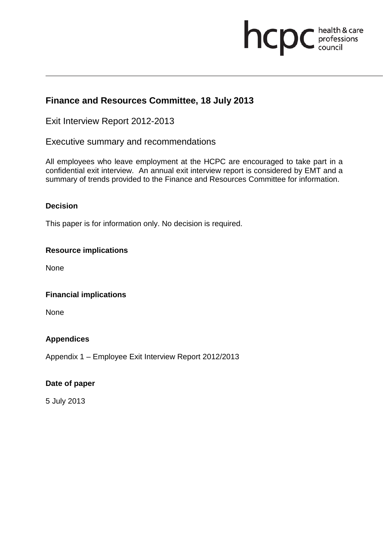# **health & care**

### **Finance and Resources Committee, 18 July 2013**

Exit Interview Report 2012-2013

Executive summary and recommendations

All employees who leave employment at the HCPC are encouraged to take part in a confidential exit interview. An annual exit interview report is considered by EMT and a summary of trends provided to the Finance and Resources Committee for information.

#### **Decision**

This paper is for information only. No decision is required.

#### **Resource implications**

None

#### **Financial implications**

None

#### **Appendices**

Appendix 1 – Employee Exit Interview Report 2012/2013

#### **Date of paper**

5 July 2013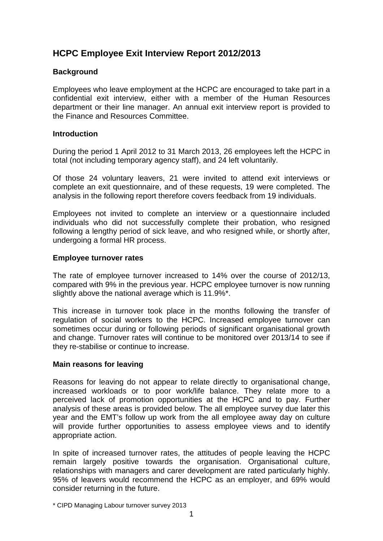## **HCPC Employee Exit Interview Report 2012/2013**

#### **Background**

Employees who leave employment at the HCPC are encouraged to take part in a confidential exit interview, either with a member of the Human Resources department or their line manager. An annual exit interview report is provided to the Finance and Resources Committee.

#### **Introduction**

During the period 1 April 2012 to 31 March 2013, 26 employees left the HCPC in total (not including temporary agency staff), and 24 left voluntarily.

Of those 24 voluntary leavers, 21 were invited to attend exit interviews or complete an exit questionnaire, and of these requests, 19 were completed. The analysis in the following report therefore covers feedback from 19 individuals.

Employees not invited to complete an interview or a questionnaire included individuals who did not successfully complete their probation, who resigned following a lengthy period of sick leave, and who resigned while, or shortly after, undergoing a formal HR process.

#### **Employee turnover rates**

The rate of employee turnover increased to 14% over the course of 2012/13, compared with 9% in the previous year. HCPC employee turnover is now running slightly above the national average which is 11.9%\*.

This increase in turnover took place in the months following the transfer of regulation of social workers to the HCPC. Increased employee turnover can sometimes occur during or following periods of significant organisational growth and change. Turnover rates will continue to be monitored over 2013/14 to see if they re-stabilise or continue to increase.

#### **Main reasons for leaving**

Reasons for leaving do not appear to relate directly to organisational change, increased workloads or to poor work/life balance. They relate more to a perceived lack of promotion opportunities at the HCPC and to pay. Further analysis of these areas is provided below. The all employee survey due later this year and the EMT's follow up work from the all employee away day on culture will provide further opportunities to assess employee views and to identify appropriate action.

In spite of increased turnover rates, the attitudes of people leaving the HCPC remain largely positive towards the organisation. Organisational culture, relationships with managers and carer development are rated particularly highly. 95% of leavers would recommend the HCPC as an employer, and 69% would consider returning in the future.

<sup>\*</sup> CIPD Managing Labour turnover survey 2013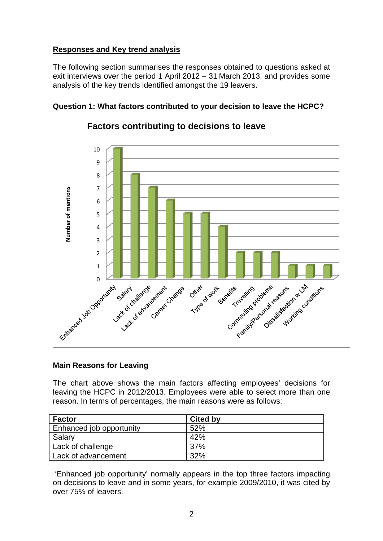#### **Responses and Key trend analysis**

The following section summarises the responses obtained to questions asked at exit interviews over the period 1 April 2012 – 31 March 2013, and provides some analysis of the key trends identified amongst the 19 leavers.



**Question 1: What factors contributed to your decision to leave the HCPC?** 

#### **Main Reasons for Leaving**

The chart above shows the main factors affecting employees' decisions for leaving the HCPC in 2012/2013. Employees were able to select more than one reason. In terms of percentages, the main reasons were as follows:

| <b>Factor</b>                   | <b>Cited by</b> |
|---------------------------------|-----------------|
| <b>Enhanced job opportunity</b> | 52%             |
| Salary                          | 42%             |
| Lack of challenge               | <b>37%</b>      |
| Lack of advancement             | 32%             |

'Enhanced job opportunity' normally appears in the top three factors impacting on decisions to leave and in some years, for example 2009/2010, it was cited by over 75% of leavers.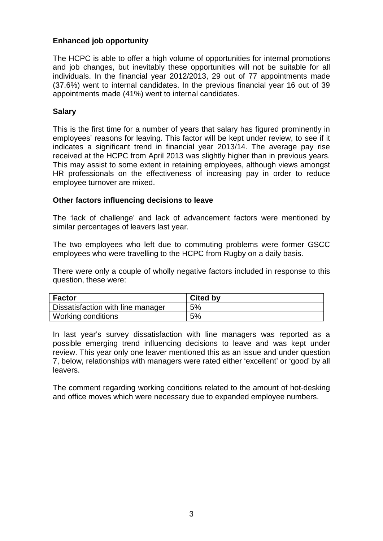#### **Enhanced job opportunity**

The HCPC is able to offer a high volume of opportunities for internal promotions and job changes, but inevitably these opportunities will not be suitable for all individuals. In the financial year 2012/2013, 29 out of 77 appointments made (37.6%) went to internal candidates. In the previous financial year 16 out of 39 appointments made (41%) went to internal candidates.

#### **Salary**

This is the first time for a number of years that salary has figured prominently in employees' reasons for leaving. This factor will be kept under review, to see if it indicates a significant trend in financial year 2013/14. The average pay rise received at the HCPC from April 2013 was slightly higher than in previous years. This may assist to some extent in retaining employees, although views amongst HR professionals on the effectiveness of increasing pay in order to reduce employee turnover are mixed.

#### **Other factors influencing decisions to leave**

The 'lack of challenge' and lack of advancement factors were mentioned by similar percentages of leavers last year.

The two employees who left due to commuting problems were former GSCC employees who were travelling to the HCPC from Rugby on a daily basis.

There were only a couple of wholly negative factors included in response to this question, these were:

| <b>Factor</b>                     | <b>Cited by</b> |
|-----------------------------------|-----------------|
| Dissatisfaction with line manager | 5%              |
| Working conditions                | 5%              |

In last year's survey dissatisfaction with line managers was reported as a possible emerging trend influencing decisions to leave and was kept under review. This year only one leaver mentioned this as an issue and under question 7, below, relationships with managers were rated either 'excellent' or 'good' by all leavers.

The comment regarding working conditions related to the amount of hot-desking and office moves which were necessary due to expanded employee numbers.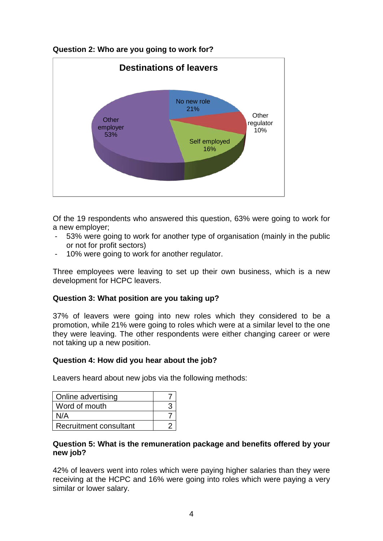#### **Question 2: Who are you going to work for?**



Of the 19 respondents who answered this question, 63% were going to work for a new employer;

- 53% were going to work for another type of organisation (mainly in the public or not for profit sectors)
- 10% were going to work for another regulator.

Three employees were leaving to set up their own business, which is a new development for HCPC leavers.

#### **Question 3: What position are you taking up?**

37% of leavers were going into new roles which they considered to be a promotion, while 21% were going to roles which were at a similar level to the one they were leaving. The other respondents were either changing career or were not taking up a new position.

#### **Question 4: How did you hear about the job?**

Leavers heard about new jobs via the following methods:

| Online advertising     |  |
|------------------------|--|
| Word of mouth          |  |
| N/A                    |  |
| Recruitment consultant |  |

#### **Question 5: What is the remuneration package and benefits offered by your new job?**

42% of leavers went into roles which were paying higher salaries than they were receiving at the HCPC and 16% were going into roles which were paying a very similar or lower salary.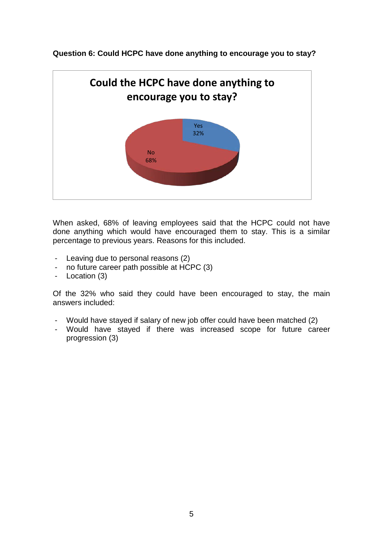

**Question 6: Could HCPC have done anything to encourage you to stay?** 

When asked, 68% of leaving employees said that the HCPC could not have done anything which would have encouraged them to stay. This is a similar percentage to previous years. Reasons for this included.

- Leaving due to personal reasons (2)
- no future career path possible at HCPC (3)
- Location (3)

Of the 32% who said they could have been encouraged to stay, the main answers included:

- Would have stayed if salary of new job offer could have been matched (2)
- Would have stayed if there was increased scope for future career progression (3)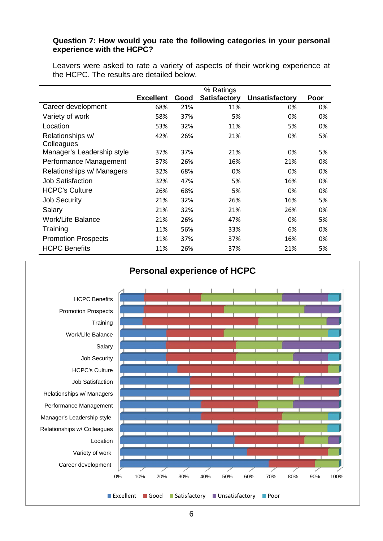#### **Question 7: How would you rate the following categories in your personal experience with the HCPC?**

Leavers were asked to rate a variety of aspects of their working experience at the HCPC. The results are detailed below.

|                                | % Ratings        |      |                     |                       |      |
|--------------------------------|------------------|------|---------------------|-----------------------|------|
|                                | <b>Excellent</b> | Good | <b>Satisfactory</b> | <b>Unsatisfactory</b> | Poor |
| Career development             | 68%              | 21%  | 11%                 | 0%                    | 0%   |
| Variety of work                | 58%              | 37%  | 5%                  | 0%                    | 0%   |
| Location                       | 53%              | 32%  | 11%                 | 5%                    | 0%   |
| Relationships w/<br>Colleagues | 42%              | 26%  | 21%                 | 0%                    | 5%   |
| Manager's Leadership style     | 37%              | 37%  | 21%                 | 0%                    | 5%   |
| Performance Management         | 37%              | 26%  | 16%                 | 21%                   | 0%   |
| Relationships w/ Managers      | 32%              | 68%  | 0%                  | 0%                    | 0%   |
| <b>Job Satisfaction</b>        | 32%              | 47%  | 5%                  | 16%                   | 0%   |
| <b>HCPC's Culture</b>          | 26%              | 68%  | 5%                  | 0%                    | 0%   |
| <b>Job Security</b>            | 21%              | 32%  | 26%                 | 16%                   | 5%   |
| Salary                         | 21%              | 32%  | 21%                 | 26%                   | 0%   |
| <b>Work/Life Balance</b>       | 21%              | 26%  | 47%                 | 0%                    | 5%   |
| Training                       | 11%              | 56%  | 33%                 | 6%                    | 0%   |
| <b>Promotion Prospects</b>     | 11%              | 37%  | 37%                 | 16%                   | 0%   |
| <b>HCPC Benefits</b>           | 11%              | 26%  | 37%                 | 21%                   | 5%   |

# 0% 10% 20% 30% 40% 50% 60% 70% 80% 90% 100% Career development Variety of work Location Relationships w/ Colleagues Manager's Leadership style Performance Management Relationships w/ Managers Job Satisfaction HCPC's Culture Job Security Salary Work/Life Balance **Training** Promotion Prospects HCPC Benefits **Personal experience of HCPC**

Excellent Good Satisfactory Unsatisfactory Poor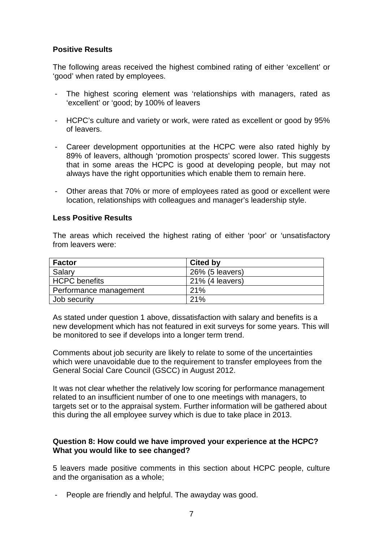#### **Positive Results**

The following areas received the highest combined rating of either 'excellent' or 'good' when rated by employees.

- The highest scoring element was 'relationships with managers, rated as 'excellent' or 'good; by 100% of leavers
- HCPC's culture and variety or work, were rated as excellent or good by 95% of leavers.
- Career development opportunities at the HCPC were also rated highly by 89% of leavers, although 'promotion prospects' scored lower. This suggests that in some areas the HCPC is good at developing people, but may not always have the right opportunities which enable them to remain here.
- Other areas that 70% or more of employees rated as good or excellent were location, relationships with colleagues and manager's leadership style.

#### **Less Positive Results**

The areas which received the highest rating of either 'poor' or 'unsatisfactory from leavers were:

| <b>Factor</b>          | <b>Cited by</b> |
|------------------------|-----------------|
| Salary                 | 26% (5 leavers) |
| <b>HCPC</b> benefits   | 21% (4 leavers) |
| Performance management | 21%             |
| Job security           | 21%             |

As stated under question 1 above, dissatisfaction with salary and benefits is a new development which has not featured in exit surveys for some years. This will be monitored to see if develops into a longer term trend.

Comments about job security are likely to relate to some of the uncertainties which were unavoidable due to the requirement to transfer employees from the General Social Care Council (GSCC) in August 2012.

It was not clear whether the relatively low scoring for performance management related to an insufficient number of one to one meetings with managers, to targets set or to the appraisal system. Further information will be gathered about this during the all employee survey which is due to take place in 2013.

#### **Question 8: How could we have improved your experience at the HCPC? What you would like to see changed?**

5 leavers made positive comments in this section about HCPC people, culture and the organisation as a whole;

People are friendly and helpful. The awayday was good.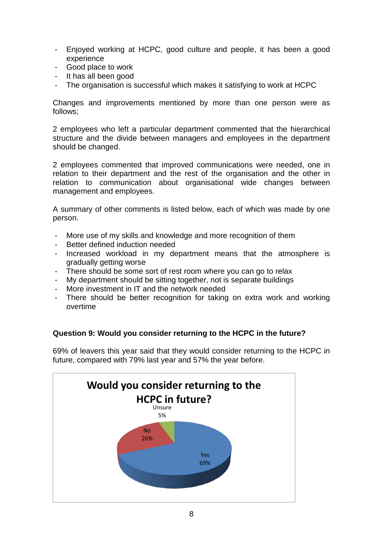- Enjoyed working at HCPC, good culture and people, it has been a good experience
- Good place to work
- It has all been good
- The organisation is successful which makes it satisfying to work at HCPC

Changes and improvements mentioned by more than one person were as follows;

2 employees who left a particular department commented that the hierarchical structure and the divide between managers and employees in the department should be changed.

2 employees commented that improved communications were needed, one in relation to their department and the rest of the organisation and the other in relation to communication about organisational wide changes between management and employees.

A summary of other comments is listed below, each of which was made by one person.

- More use of my skills and knowledge and more recognition of them
- Better defined induction needed
- Increased workload in my department means that the atmosphere is gradually getting worse
- There should be some sort of rest room where you can go to relax
- My department should be sitting together, not is separate buildings
- More investment in IT and the network needed
- There should be better recognition for taking on extra work and working overtime

#### **Question 9: Would you consider returning to the HCPC in the future?**

69% of leavers this year said that they would consider returning to the HCPC in future, compared with 79% last year and 57% the year before.